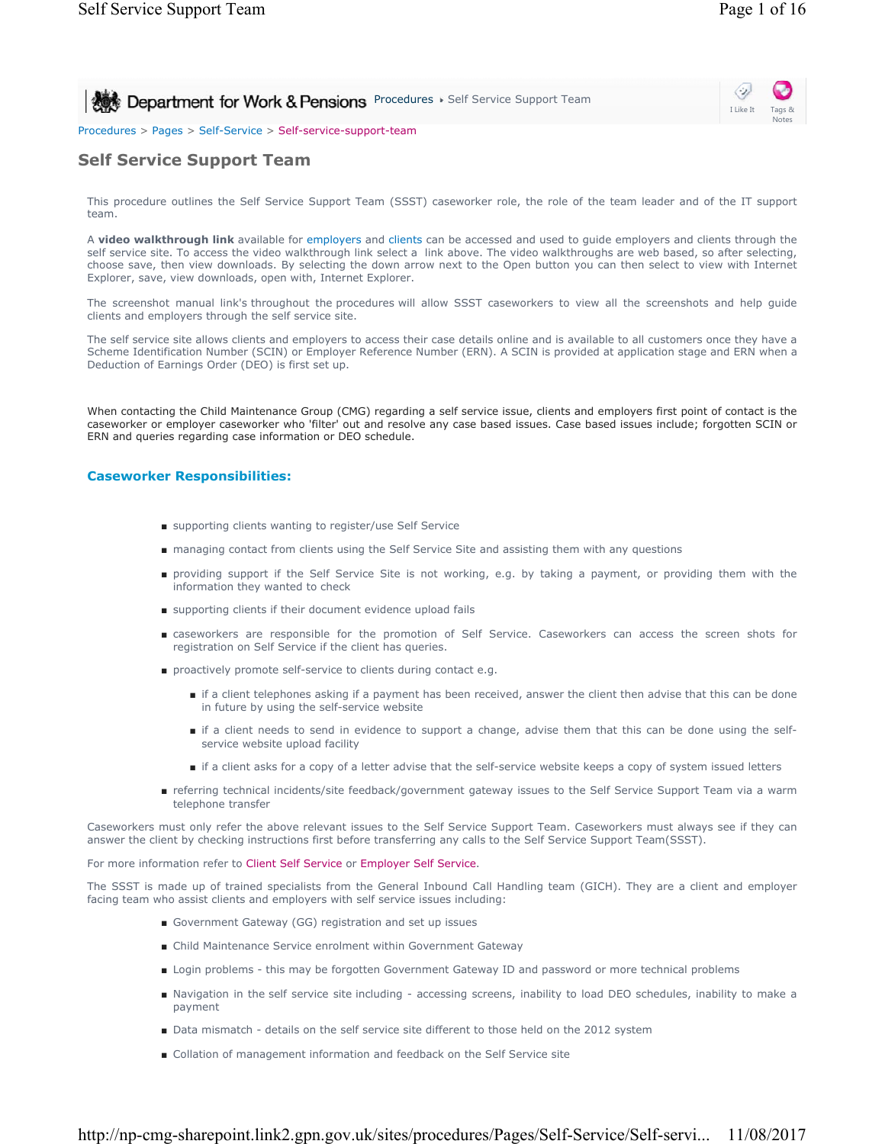Notes

I Like It

Ò,

**Procedures > Self Service Support Team** 

## Procedures > Pages > Self-Service > Self-service-support-team

# **Self Service Support Team**

This procedure outlines the Self Service Support Team (SSST) caseworker role, the role of the team leader and of the IT support team.

A **video walkthrough link** available for employers and clients can be accessed and used to guide employers and clients through the self service site. To access the video walkthrough link select a link above. The video walkthroughs are web based, so after selecting, choose save, then view downloads. By selecting the down arrow next to the Open button you can then select to view with Internet Explorer, save, view downloads, open with, Internet Explorer.

The screenshot manual link's throughout the procedures will allow SSST caseworkers to view all the screenshots and help guide clients and employers through the self service site.

The self service site allows clients and employers to access their case details online and is available to all customers once they have a Scheme Identification Number (SCIN) or Employer Reference Number (ERN). A SCIN is provided at application stage and ERN when a Deduction of Earnings Order (DEO) is first set up.

When contacting the Child Maintenance Group (CMG) regarding a self service issue, clients and employers first point of contact is the caseworker or employer caseworker who 'filter' out and resolve any case based issues. Case based issues include; forgotten SCIN or ERN and queries regarding case information or DEO schedule.

## **Caseworker Responsibilities:**

- supporting clients wanting to register/use Self Service
- managing contact from clients using the Self Service Site and assisting them with any questions
- providing support if the Self Service Site is not working, e.g. by taking a payment, or providing them with the information they wanted to check
- supporting clients if their document evidence upload fails
- caseworkers are responsible for the promotion of Self Service. Caseworkers can access the screen shots for registration on Self Service if the client has queries.
- proactively promote self-service to clients during contact e.g.
	- if a client telephones asking if a payment has been received, answer the client then advise that this can be done in future by using the self-service website
	- if a client needs to send in evidence to support a change, advise them that this can be done using the selfservice website upload facility
	- if a client asks for a copy of a letter advise that the self-service website keeps a copy of system issued letters
- referring technical incidents/site feedback/government gateway issues to the Self Service Support Team via a warm telephone transfer

Caseworkers must only refer the above relevant issues to the Self Service Support Team. Caseworkers must always see if they can answer the client by checking instructions first before transferring any calls to the Self Service Support Team(SSST).

### For more information refer to Client Self Service or Employer Self Service.

The SSST is made up of trained specialists from the General Inbound Call Handling team (GICH). They are a client and employer facing team who assist clients and employers with self service issues including:

- Government Gateway (GG) registration and set up issues
- Child Maintenance Service enrolment within Government Gateway
- Login problems this may be forgotten Government Gateway ID and password or more technical problems
- Navigation in the self service site including accessing screens, inability to load DEO schedules, inability to make a payment
- Data mismatch details on the self service site different to those held on the 2012 system
- Collation of management information and feedback on the Self Service site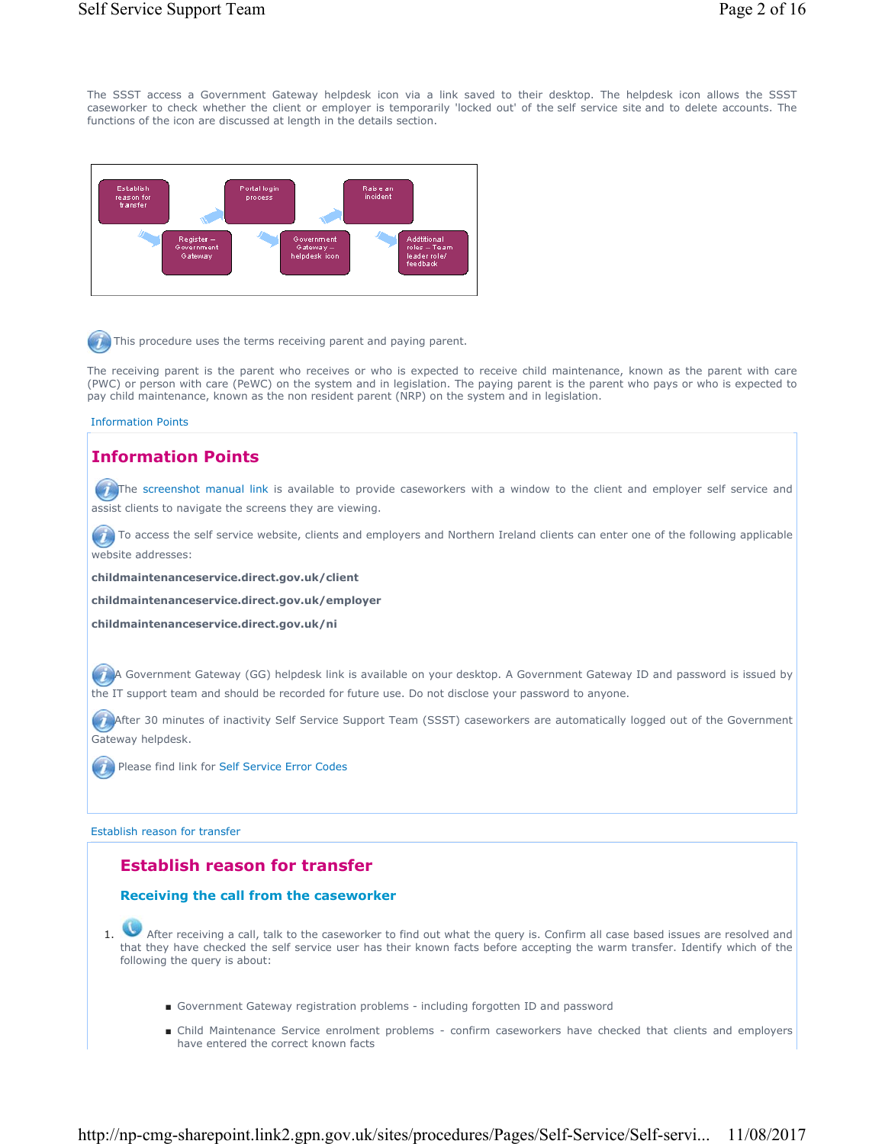The SSST access a Government Gateway helpdesk icon via a link saved to their desktop. The helpdesk icon allows the SSST caseworker to check whether the client or employer is temporarily 'locked out' of the self service site and to delete accounts. The functions of the icon are discussed at length in the details section.



 $\bullet$  This procedure uses the terms receiving parent and paying parent.

The receiving parent is the parent who receives or who is expected to receive child maintenance, known as the parent with care (PWC) or person with care (PeWC) on the system and in legislation. The paying parent is the parent who pays or who is expected to pay child maintenance, known as the non resident parent (NRP) on the system and in legislation.

### Information Points

# **Information Points**

 $(7)$  The screenshot manual link is available to provide caseworkers with a window to the client and employer self service and assist clients to navigate the screens they are viewing.

 $(7)$  To access the self service website, clients and employers and Northern Ireland clients can enter one of the following applicable website addresses:

**childmaintenanceservice.direct.gov.uk/client**

**childmaintenanceservice.direct.gov.uk/employer**

**childmaintenanceservice.direct.gov.uk/ni**

A Government Gateway (GG) helpdesk link is available on your desktop. A Government Gateway ID and password is issued by the IT support team and should be recorded for future use. Do not disclose your password to anyone.

After 30 minutes of inactivity Self Service Support Team (SSST) caseworkers are automatically logged out of the Government Gateway helpdesk.

Please find link for Self Service Error Codes

Establish reason for transfer

# **Establish reason for transfer**

## **Receiving the call from the caseworker**

1. After receiving a call, talk to the caseworker to find out what the query is. Confirm all case based issues are resolved and that they have checked the self service user has their known facts before accepting the warm transfer. Identify which of the following the query is about:

- Government Gateway registration problems including forgotten ID and password
- Child Maintenance Service enrolment problems confirm caseworkers have checked that clients and employers have entered the correct known facts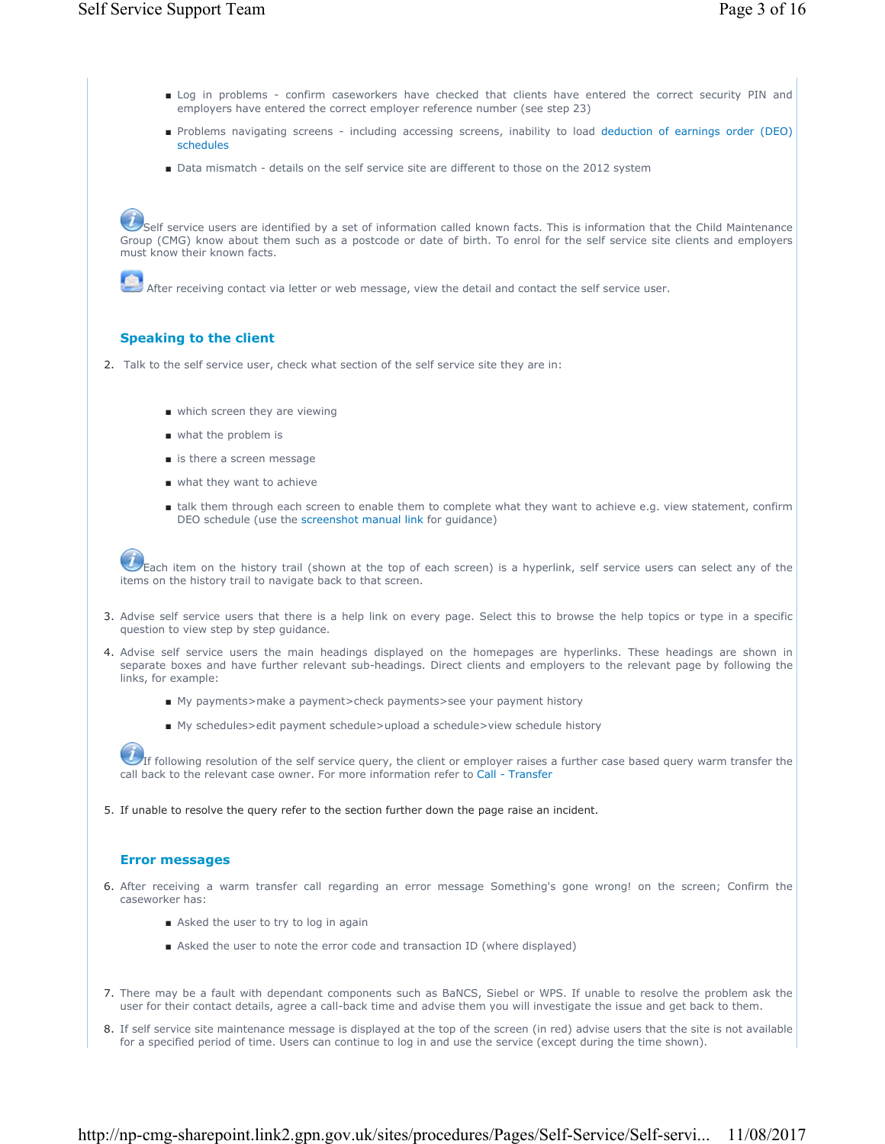- Log in problems confirm caseworkers have checked that clients have entered the correct security PIN and employers have entered the correct employer reference number (see step 23)
- Problems navigating screens including accessing screens, inability to load deduction of earnings order (DEO) schedules
- Data mismatch details on the self service site are different to those on the 2012 system

Self service users are identified by a set of information called known facts. This is information that the Child Maintenance Group (CMG) know about them such as a postcode or date of birth. To enrol for the self service site clients and employers must know their known facts.

After receiving contact via letter or web message, view the detail and contact the self service user.

## **Speaking to the client**

- 2. Talk to the self service user, check what section of the self service site they are in:
	- which screen they are viewing
	- what the problem is
	- is there a screen message
	- what they want to achieve
	- talk them through each screen to enable them to complete what they want to achieve e.g. view statement, confirm DEO schedule (use the screenshot manual link for guidance)

Each item on the history trail (shown at the top of each screen) is a hyperlink, self service users can select any of the items on the history trail to navigate back to that screen.

- 3. Advise self service users that there is a help link on every page. Select this to browse the help topics or type in a specific question to view step by step guidance.
- 4. Advise self service users the main headings displayed on the homepages are hyperlinks. These headings are shown in separate boxes and have further relevant sub-headings. Direct clients and employers to the relevant page by following the links, for example:
	- My payments>make a payment>check payments>see your payment history
	- My schedules>edit payment schedule>upload a schedule>view schedule history

If following resolution of the self service query, the client or employer raises a further case based query warm transfer the call back to the relevant case owner. For more information refer to Call - Transfer

5. If unable to resolve the query refer to the section further down the page raise an incident.

## **Error messages**

- 6. After receiving a warm transfer call regarding an error message Something's gone wrong! on the screen; Confirm the caseworker has:
	- Asked the user to try to log in again
	- Asked the user to note the error code and transaction ID (where displayed)
- 7. There may be a fault with dependant components such as BaNCS, Siebel or WPS. If unable to resolve the problem ask the user for their contact details, agree a call-back time and advise them you will investigate the issue and get back to them.
- 8. If self service site maintenance message is displayed at the top of the screen (in red) advise users that the site is not available for a specified period of time. Users can continue to log in and use the service (except during the time shown).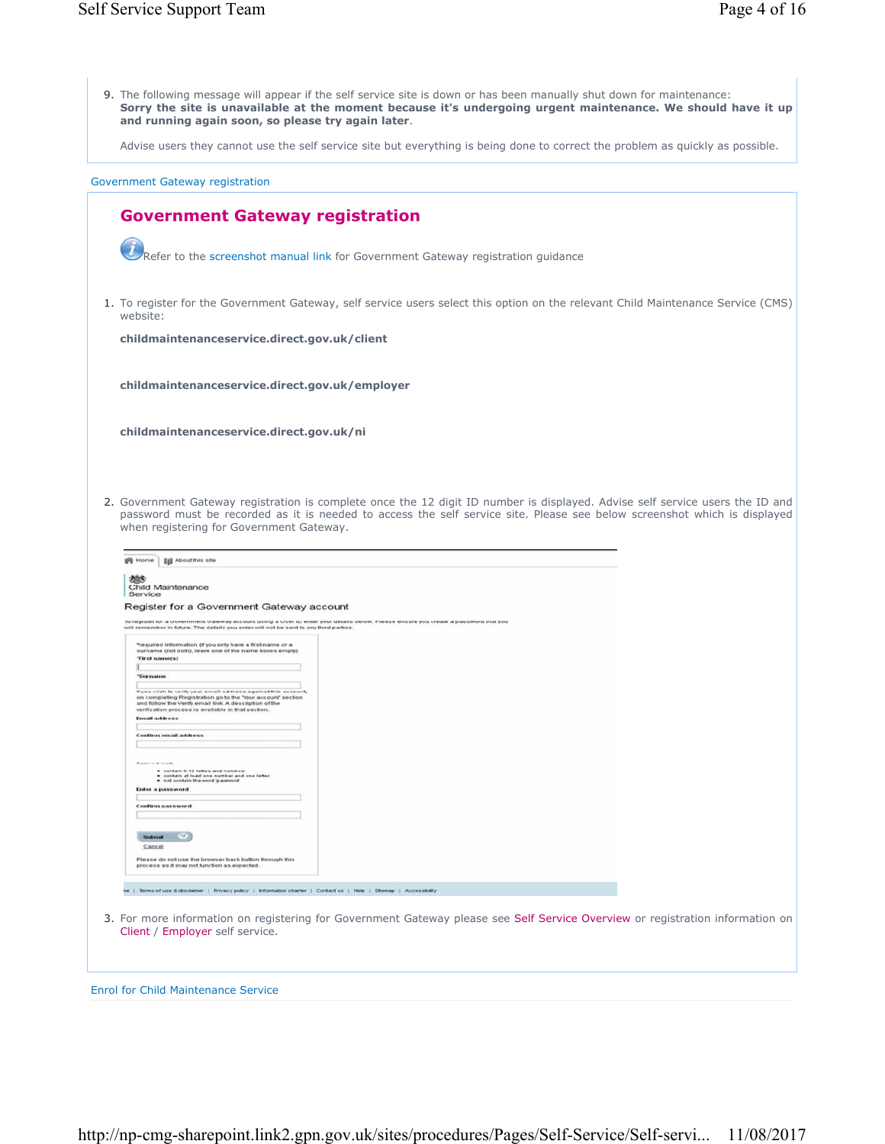| 9. The following message will appear if the self service site is down or has been manually shut down for maintenance:<br>Sorry the site is unavailable at the moment because it's undergoing urgent maintenance. We should have it up<br>and running again soon, so please try again later.                                                                                     |
|---------------------------------------------------------------------------------------------------------------------------------------------------------------------------------------------------------------------------------------------------------------------------------------------------------------------------------------------------------------------------------|
| Advise users they cannot use the self service site but everything is being done to correct the problem as quickly as possible.                                                                                                                                                                                                                                                  |
| Government Gateway registration                                                                                                                                                                                                                                                                                                                                                 |
| <b>Government Gateway registration</b>                                                                                                                                                                                                                                                                                                                                          |
| Refer to the screenshot manual link for Government Gateway registration guidance                                                                                                                                                                                                                                                                                                |
| 1. To register for the Government Gateway, self service users select this option on the relevant Child Maintenance Service (CMS)<br>website:                                                                                                                                                                                                                                    |
| childmaintenanceservice.direct.gov.uk/client                                                                                                                                                                                                                                                                                                                                    |
| childmaintenanceservice.direct.gov.uk/employer                                                                                                                                                                                                                                                                                                                                  |
| childmaintenanceservice.direct.gov.uk/ni                                                                                                                                                                                                                                                                                                                                        |
| 2. Government Gateway registration is complete once the 12 digit ID number is displayed. Advise self service users the ID and<br>password must be recorded as it is needed to access the self service site. Please see below screenshot which is displayed<br>when registering for Government Gateway.<br><b>III</b> About this site<br><b>Nome</b><br>205<br>Child Maintenance |
| Service<br>Register for a Government Gateway account                                                                                                                                                                                                                                                                                                                            |
| To register for a Government Gateway account using a User ID enter your details below. Please ensure you create a password that you<br>will remember in future. The details you enter will not be sent to any third parties.                                                                                                                                                    |
| "required information (if you only have a first name or a<br>surname (not both), leave one of the name boxes empty)<br>'First name(s)                                                                                                                                                                                                                                           |
| а<br>"Surname                                                                                                                                                                                                                                                                                                                                                                   |
| If you wish to verify your email address against this account,<br>on completing Registration go to the 'Your account' section<br>and follow the Verify email link. A description of the<br>verification process is available in that section.                                                                                                                                   |
| <b>Email</b> address                                                                                                                                                                                                                                                                                                                                                            |
| Confirm email address                                                                                                                                                                                                                                                                                                                                                           |
| ● contain 0-12 letters and numbers<br>● contain at least one number and one letter                                                                                                                                                                                                                                                                                              |
| . not contain the word 'password'<br>Enter a password                                                                                                                                                                                                                                                                                                                           |
| Confirm password                                                                                                                                                                                                                                                                                                                                                                |
| $\bullet$<br>Submit                                                                                                                                                                                                                                                                                                                                                             |
| Cancel<br>Please do not use the browser back button through this<br>process as it may not function as expected.                                                                                                                                                                                                                                                                 |
| ne   Terms of use & disclaimer   Privacy policy   Information charter   Contact us   Help   Sitemap   Accessibility                                                                                                                                                                                                                                                             |
| 3. For more information on registering for Government Gateway please see Self Service Overview or registration information on<br>Client / Employer self service.                                                                                                                                                                                                                |
| <b>Enrol for Child Maintenance Service</b>                                                                                                                                                                                                                                                                                                                                      |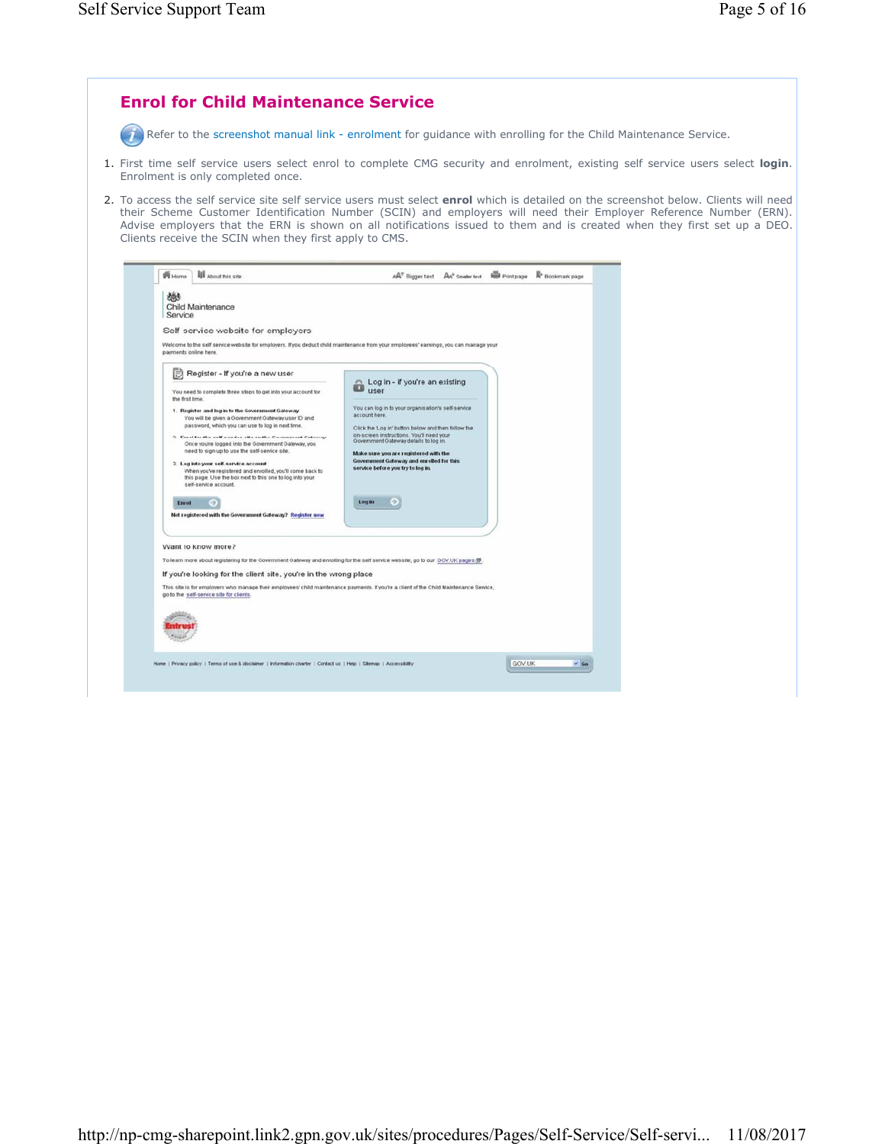| Refer to the screenshot manual link - enrolment for guidance with enrolling for the Child Maintenance Service.                                                                                                                                                                                                                                                                                                                                                                                                                                                                                                                                                                                                                                                                                                                                                                                                                                                                                                                                                                                                                                                                                                                                                                                                                                                                                                                                                                                                                                                         |  |
|------------------------------------------------------------------------------------------------------------------------------------------------------------------------------------------------------------------------------------------------------------------------------------------------------------------------------------------------------------------------------------------------------------------------------------------------------------------------------------------------------------------------------------------------------------------------------------------------------------------------------------------------------------------------------------------------------------------------------------------------------------------------------------------------------------------------------------------------------------------------------------------------------------------------------------------------------------------------------------------------------------------------------------------------------------------------------------------------------------------------------------------------------------------------------------------------------------------------------------------------------------------------------------------------------------------------------------------------------------------------------------------------------------------------------------------------------------------------------------------------------------------------------------------------------------------------|--|
| 1. First time self service users select enrol to complete CMG security and enrolment, existing self service users select login.<br>Enrolment is only completed once.                                                                                                                                                                                                                                                                                                                                                                                                                                                                                                                                                                                                                                                                                                                                                                                                                                                                                                                                                                                                                                                                                                                                                                                                                                                                                                                                                                                                   |  |
| 2. To access the self service site self service users must select <b>enrol</b> which is detailed on the screenshot below. Clients will need<br>their Scheme Customer Identification Number (SCIN) and employers will need their Employer Reference Number (ERN).<br>Advise employers that the ERN is shown on all notifications issued to them and is created when they first set up a DEO.<br>Clients receive the SCIN when they first apply to CMS.                                                                                                                                                                                                                                                                                                                                                                                                                                                                                                                                                                                                                                                                                                                                                                                                                                                                                                                                                                                                                                                                                                                  |  |
| <b>III</b> About this site<br>A <sup>T</sup> Bigger text Ax <sup>+</sup> Smaler text <b>For</b> Print page <b>R</b> <sup>+</sup> Bookmark page<br><b>PE</b> Home                                                                                                                                                                                                                                                                                                                                                                                                                                                                                                                                                                                                                                                                                                                                                                                                                                                                                                                                                                                                                                                                                                                                                                                                                                                                                                                                                                                                       |  |
| නීර<br>Child Maintenance<br>Service<br>Self-service website for employers<br>Welcome to the self service website for employers. If you deduct child maintenance from your employees' earnings, you can manage your<br>payments online here.                                                                                                                                                                                                                                                                                                                                                                                                                                                                                                                                                                                                                                                                                                                                                                                                                                                                                                                                                                                                                                                                                                                                                                                                                                                                                                                            |  |
| Register - If you're a new user<br>Log in - if you're an existing<br><b>Luser</b><br>You need to complete three steps to get into your account for<br>the first time.<br>You can log in to your organisation's self-service<br>1. Register and log in to the Government Gateway<br>account here.<br>You will be given a Government Gateway user ID and<br>password, which you can use to log in next time.<br>Click the Log in' button below and then follow the<br>on-screen instructions. You'll need your<br>2. Enrol for the self-service site on the Government Gateway<br>Oovernment Oateway details to log in.<br>Once you're logged into the Government Gateway, you<br>need to sign up to use the self-service site.<br>Make sure you are registered with the<br>Government Gateway and enrolled for this<br>3. Log into your self-service account<br>service before you try to log in.<br>When you've registered and enrolled, you'll come back to<br>this page. Use the box next to this one to log into your<br>self-service account.<br>Login<br>$\rightarrow$<br>Enrol<br>Not registered with the Government Gateway? Register now<br>Want to know more?<br>To learn more about registering for the Government Gateway and enrolling for the self service website, go to our GOV.UK pages (S)<br>If you're looking for the client site, you're in the wrong place<br>This site is for employers who manage their employees' child maintenance payments. If you're a client of the Child Maintenance Service,<br>go to the self-service site for clients. |  |
| GOV.UK<br>Home   Privacy policy   Terms of use & disclaimer   Information charter   Contact us   Help   Stemap   Accessibility<br>$~\vee$ Go                                                                                                                                                                                                                                                                                                                                                                                                                                                                                                                                                                                                                                                                                                                                                                                                                                                                                                                                                                                                                                                                                                                                                                                                                                                                                                                                                                                                                           |  |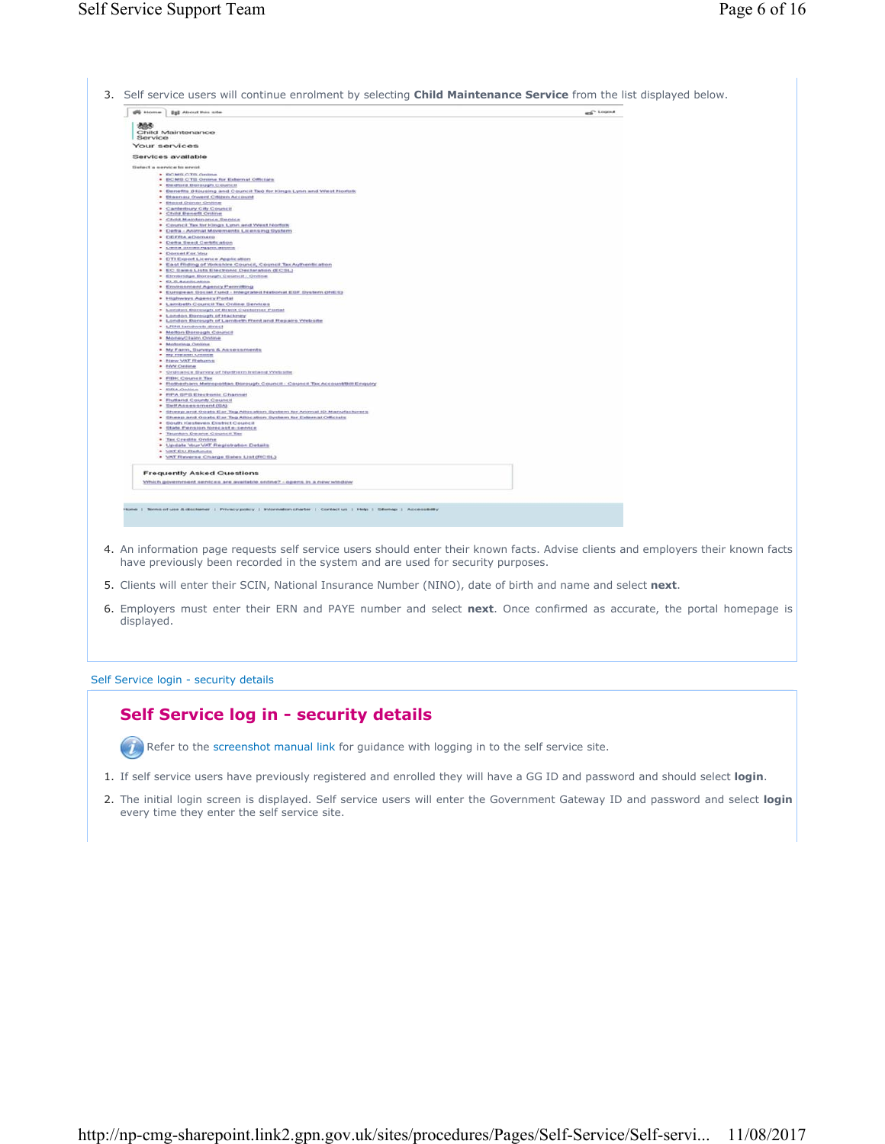|         | <b>SE Home   222 About this one</b>                                                                                   | <b>REG'LOGICA</b> |
|---------|-----------------------------------------------------------------------------------------------------------------------|-------------------|
|         |                                                                                                                       |                   |
| 885     | Child Maintenance                                                                                                     |                   |
| Service |                                                                                                                       |                   |
|         | Your services                                                                                                         |                   |
|         |                                                                                                                       |                   |
|         | Services available                                                                                                    |                   |
|         | Setect a service to enrot.                                                                                            |                   |
|         | * BOMS OTS Online                                                                                                     |                   |
|         | . BCMS CTS Online for External Officials                                                                              |                   |
|         | . Bedford Berough Council<br>. Benefits (Housing and Council Tax) for Hings Lynn and West Norfolk                     |                   |
|         | . Blasnau Owerd Citizen Account                                                                                       |                   |
|         | · Blood Donor Online                                                                                                  |                   |
|         | . Canterbury City Council<br>* Child Benefit Online                                                                   |                   |
|         | . Christ Matritenance Senice                                                                                          |                   |
|         | . Council Tax for Hings Lynn and Went Nortolk                                                                         |                   |
|         | . Defra - Animal Movements Licensing System<br>· DEFRA «Domere                                                        |                   |
|         | . Detta Seed Certification                                                                                            |                   |
|         | · Owlta Simall Applications                                                                                           |                   |
|         | * Cornet For You<br>* DTI Export Licence Application                                                                  |                   |
|         | . East Riding of Yorkshire Council, Council Tax Authentication                                                        |                   |
|         | . EC Sales Lists Electronic Declaration (ECSL)                                                                        |                   |
|         | · Elmitmige Borough Council - Online<br>· ELS.Accdication                                                             |                   |
|         | . Environment Agency Permitting                                                                                       |                   |
|         | . European Goccal Fund - Integrated National EGF System (Hill S)                                                      |                   |
|         | . Highways Agency Portal<br>. Lambeth Council Tax Online Services                                                     |                   |
|         | . London Borough of Brent Customer Portal                                                                             |                   |
|         | * London Borough of Hackney                                                                                           |                   |
|         | . London Barough of Lambeth Rent and Repairs Website<br>. Little tarchests direct                                     |                   |
|         | . Melton Dereugh Council                                                                                              |                   |
|         | · MoneyClaim Online                                                                                                   |                   |
|         | · Motoring Online<br>* My Farro, Gurveys & Associationts                                                              |                   |
|         | . My Health Online                                                                                                    |                   |
|         | * New VAT Rehms                                                                                                       |                   |
|         | · <i><b>Edité Cristime</b></i><br>. Ordnance Survey of Northern Ireland Website                                       |                   |
|         | . FEBRIC CHARGES Then                                                                                                 |                   |
|         | . Followham Metropolitan Borough Council - Council Tax Account@ill Enquiry<br>· EPA Online                            |                   |
|         | . FIFA SFS Electronic Channel                                                                                         |                   |
|         | . Fluttand County Council                                                                                             |                   |
|         | . Belf Assessment (SA)<br>. Sheep and Oosts Ear Tag Altocation System for Animal ID Manufacturers                     |                   |
|         | . Sheep and Goats Ear Tag Affor abon System for External Officials                                                    |                   |
|         | . Bouth Hasteven District Council                                                                                     |                   |
|         | . Otate Pension forecast e-service<br>. Taurdon Deane Council Tax                                                     |                   |
|         | . Tax Credits Online                                                                                                  |                   |
|         | * Update Your VAT Registration Details                                                                                |                   |
|         | · VAT EU Refunds<br>. VAT Reverse Charge Sales List (RCSL)                                                            |                   |
|         |                                                                                                                       |                   |
|         | <b>Frequently Asked Questions</b>                                                                                     |                   |
|         |                                                                                                                       |                   |
|         | Vihich government services are available oritine? - opens in a new winding                                            |                   |
|         |                                                                                                                       |                   |
|         |                                                                                                                       |                   |
|         | Note:   Nirms of use & disclaimer   Privacy policy   Information charter   Contact us   Help   Stemap   Accessibility |                   |
|         |                                                                                                                       |                   |

- 4. An information page requests self service users should enter their known facts. Advise clients and employers their known facts have previously been recorded in the system and are used for security purposes.
- 5. Clients will enter their SCIN, National Insurance Number (NINO), date of birth and name and select **next**.
- Employers must enter their ERN and PAYE number and select **next**. Once confirmed as accurate, the portal homepage is 6. displayed.

### Self Service login - security details

# **Self Service log in - security details**

Refer to the screenshot manual link for guidance with logging in to the self service site.

- 1. If self service users have previously registered and enrolled they will have a GG ID and password and should select **login**.
- 2. The initial login screen is displayed. Self service users will enter the Government Gateway ID and password and select login every time they enter the self service site.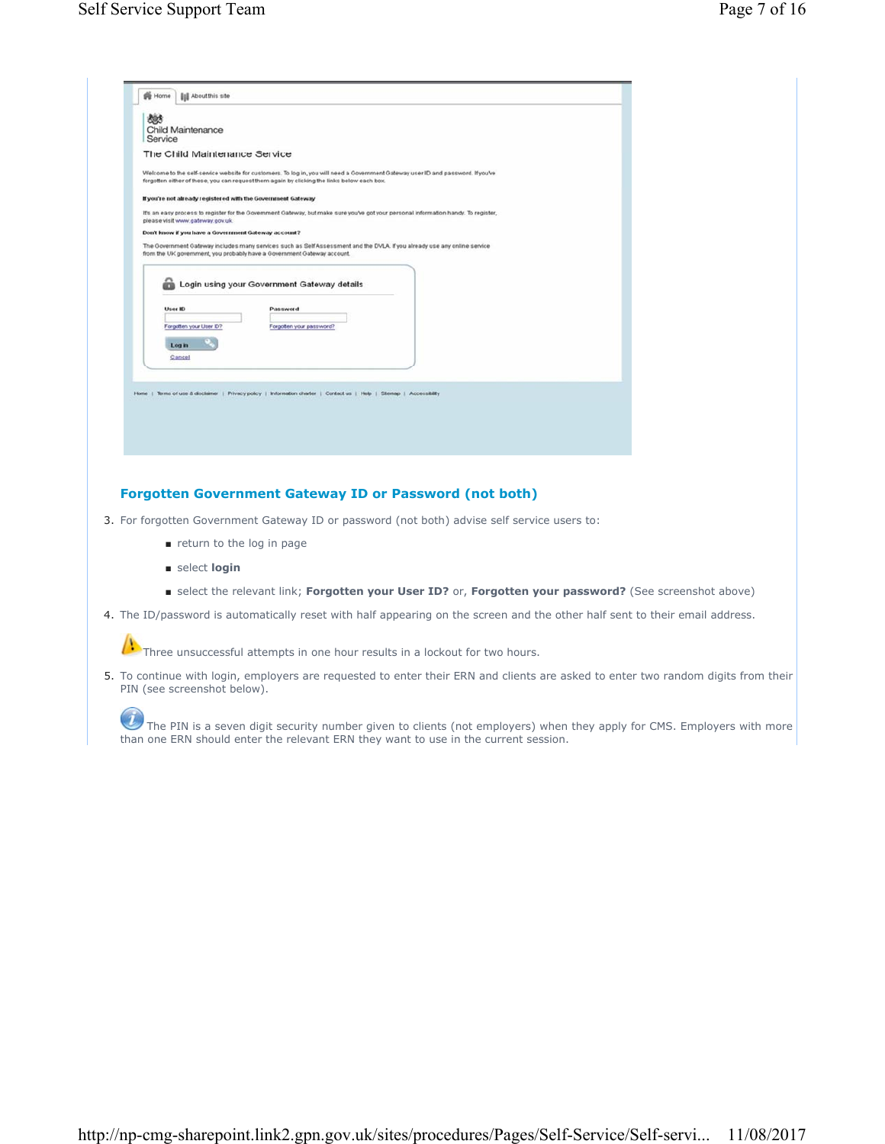

# **Forgotten Government Gateway ID or Password (not both)**

- 3. For forgotten Government Gateway ID or password (not both) advise self service users to:
	- return to the log in page
	- select **login**
	- select the relevant link; **Forgotten your User ID?** or, **Forgotten your password?** (See screenshot above)
- 4. The ID/password is automatically reset with half appearing on the screen and the other half sent to their email address.

Three unsuccessful attempts in one hour results in a lockout for two hours.

5. To continue with login, employers are requested to enter their ERN and clients are asked to enter two random digits from their PIN (see screenshot below).

 $\dot{U}$  The PIN is a seven digit security number given to clients (not employers) when they apply for CMS. Employers with more than one ERN should enter the relevant ERN they want to use in the current session.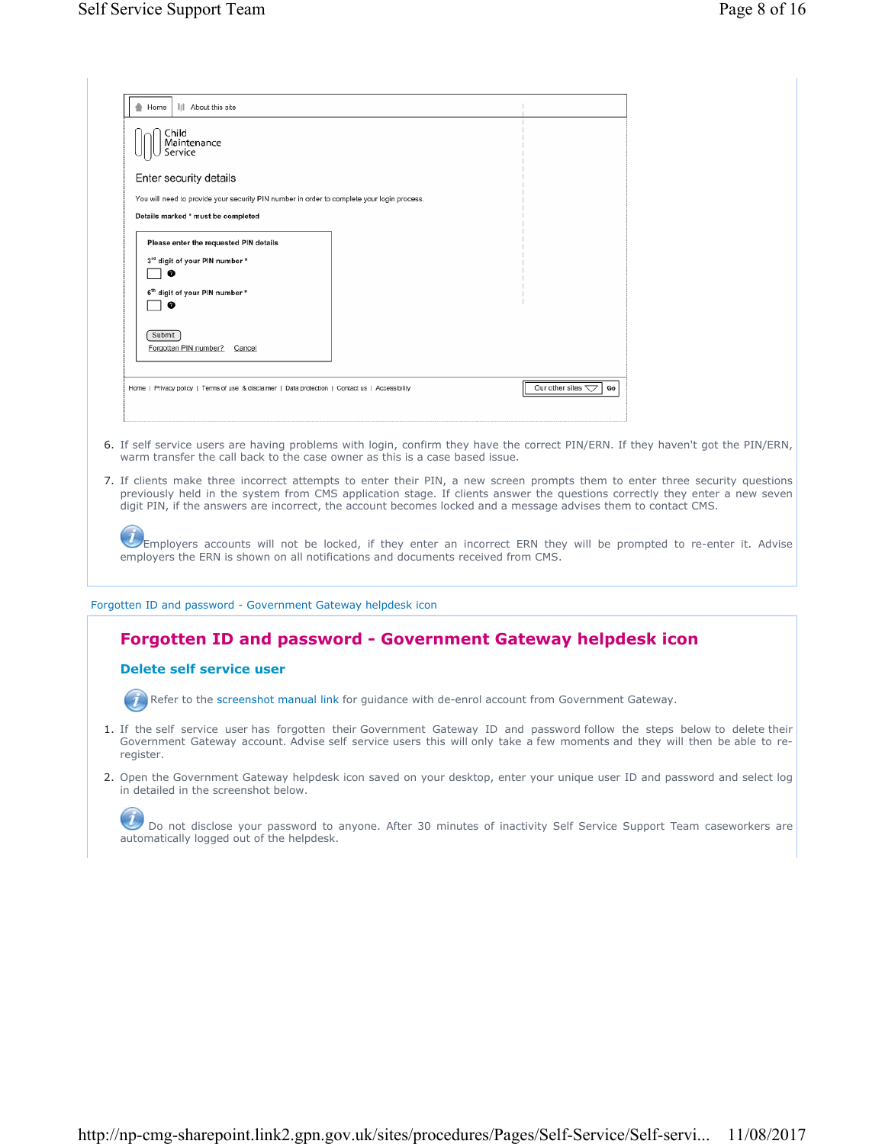| III About this site<br>Home                                                                                                                                                   |                                          |
|-------------------------------------------------------------------------------------------------------------------------------------------------------------------------------|------------------------------------------|
| Child<br>Maintenance<br>Service                                                                                                                                               |                                          |
| Enter security details                                                                                                                                                        |                                          |
| You will need to provide your security PIN number in order to complete your login process.                                                                                    |                                          |
| Details marked * must be completed                                                                                                                                            |                                          |
| Please enter the requested PIN details<br>3rd digit of your PIN number *<br>ø<br>6 <sup>th</sup> digit of your PIN number *<br>ø<br>Submit<br>Forgotten PIN number?<br>Cancel |                                          |
| Home   Privacy policy   Terms of use & disclaimer   Data protection   Contact us   Accessibility                                                                              | Our other sites $\bigtriangledown$<br>Go |
|                                                                                                                                                                               |                                          |

- 6. If self service users are having problems with login, confirm they have the correct PIN/ERN. If they haven't got the PIN/ERN, warm transfer the call back to the case owner as this is a case based issue.
- 7. If clients make three incorrect attempts to enter their PIN, a new screen prompts them to enter three security questions previously held in the system from CMS application stage. If clients answer the questions correctly they enter a new seven digit PIN, if the answers are incorrect, the account becomes locked and a message advises them to contact CMS.

| Employers accounts will not be locked, if they enter an incorrect ERN they will be prompted to re-enter it. Advise |  |  |  |  |  |  |  |  |  |  |
|--------------------------------------------------------------------------------------------------------------------|--|--|--|--|--|--|--|--|--|--|
| employers the ERN is shown on all notifications and documents received from CMS.                                   |  |  |  |  |  |  |  |  |  |  |

Forgotten ID and password - Government Gateway helpdesk icon

# **Forgotten ID and password - Government Gateway helpdesk icon**

## **Delete self service user**

 $\bigcap$ 

Refer to the screenshot manual link for guidance with de-enrol account from Government Gateway.

- 1. If the self service user has forgotten their Government Gateway ID and password follow the steps below to delete their Government Gateway account. Advise self service users this will only take a few moments and they will then be able to reregister.
- 2. Open the Government Gateway helpdesk icon saved on your desktop, enter your unique user ID and password and select log in detailed in the screenshot below.

Do not disclose your password to anyone. After 30 minutes of inactivity Self Service Support Team caseworkers are automatically logged out of the helpdesk.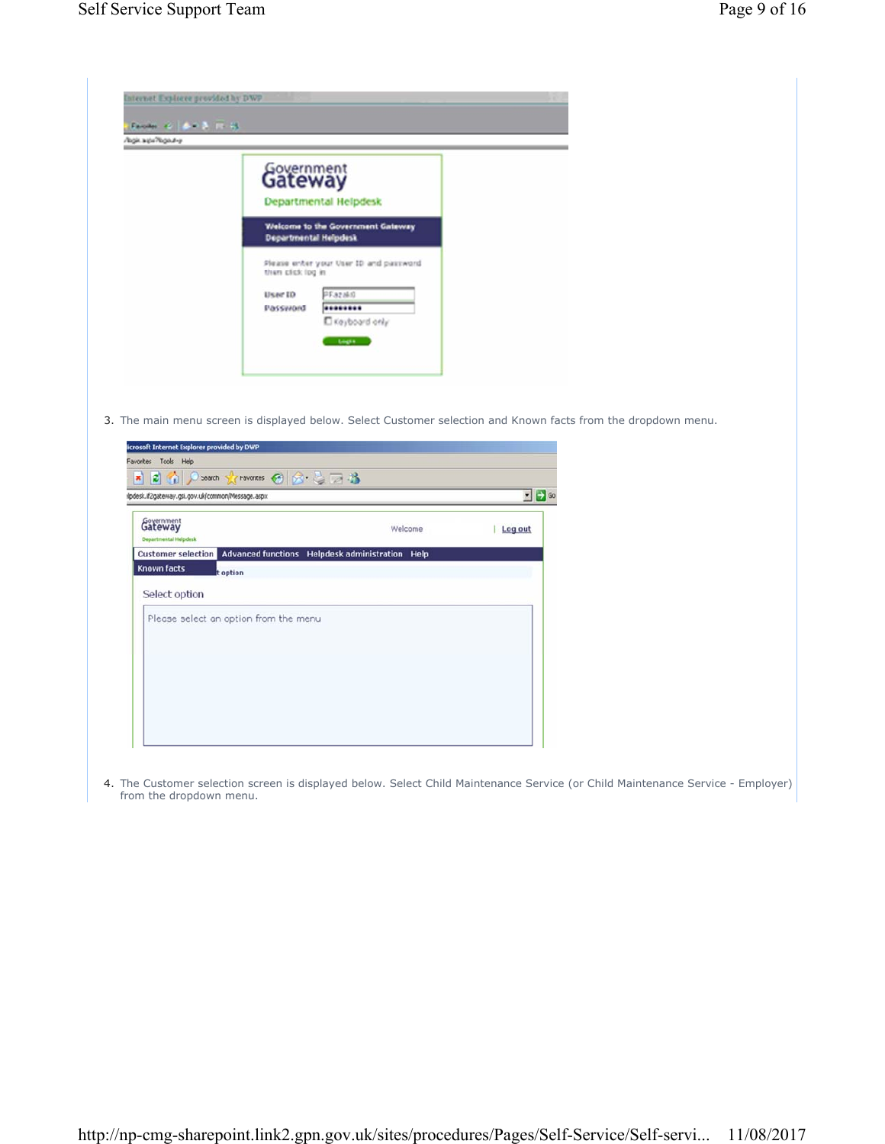**Known facts** 

Select option



**Customer selection** Advanced functions Helpdesk administration Help

t option

Please select an option from the menu

4. The Customer selection screen is displayed below. Select Child Maintenance Service (or Child Maintenance Service - Employer) from the dropdown menu.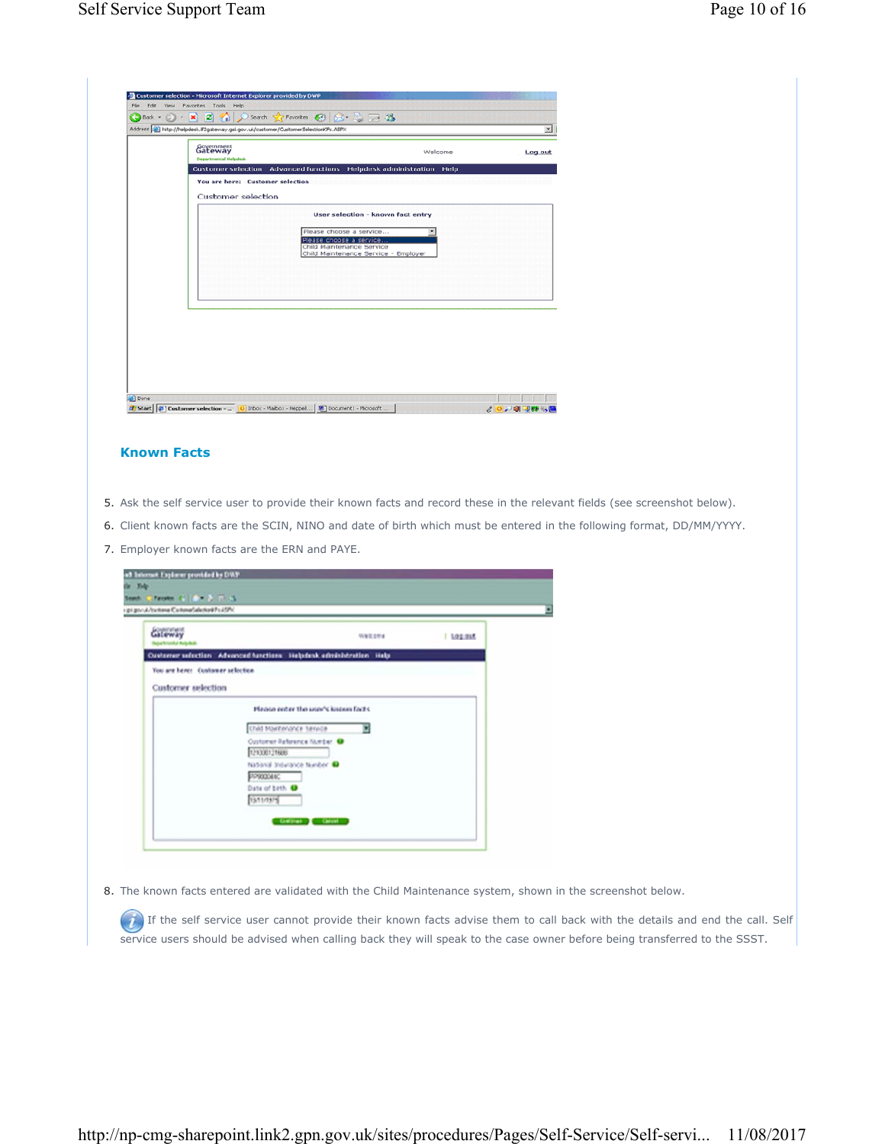|                                                               | Address et http://helpdesk.if2gateway.gsi.gov.uk/customer/CustomerSelectionKFs.ASPX                                     |         | ×       |
|---------------------------------------------------------------|-------------------------------------------------------------------------------------------------------------------------|---------|---------|
| <b>Government</b><br><b>Departmental Helpdesk</b>             |                                                                                                                         | Welcome | Log out |
|                                                               | Customer selection Advanced functions Helpdesk administration Help                                                      |         |         |
| You are here: Customer selection<br><b>Customer selection</b> |                                                                                                                         |         |         |
|                                                               | User selection - known fact entry                                                                                       |         |         |
|                                                               | Please choose a service<br>Please choose a service<br>Child Maintenance Service<br>Child Maintenance Service - Emplover |         |         |
|                                                               |                                                                                                                         |         |         |
|                                                               |                                                                                                                         |         |         |
|                                                               |                                                                                                                         |         |         |
|                                                               |                                                                                                                         |         |         |
|                                                               |                                                                                                                         |         |         |

## **Known Facts**

- 5. Ask the self service user to provide their known facts and record these in the relevant fields (see screenshot below).
- 6. Client known facts are the SCIN, NINO and date of birth which must be entered in the following format, DD/MM/YYYY.
- 7. Employer known facts are the ERN and PAYE.

| Galeway                           |                                                                     | Welcome | I Log out |
|-----------------------------------|---------------------------------------------------------------------|---------|-----------|
|                                   | Ousterner selection Advanced functions Helpdesk edministration Help |         |           |
| You are here: Customer selection. |                                                                     |         |           |
| Customer selection                |                                                                     |         |           |
|                                   | Please enter the user's known facts.                                |         |           |
|                                   | Child Maintenance Service                                           | 뾔       |           |
|                                   | Customer Reforence Number @                                         |         |           |
|                                   | 121300121606<br>National Indurance Number @                         |         |           |
|                                   | PP900046C                                                           |         |           |
|                                   | Date of birth @                                                     |         |           |

8. The known facts entered are validated with the Child Maintenance system, shown in the screenshot below.

 $(i)$  If the self service user cannot provide their known facts advise them to call back with the details and end the call. Self service users should be advised when calling back they will speak to the case owner before being transferred to the SSST.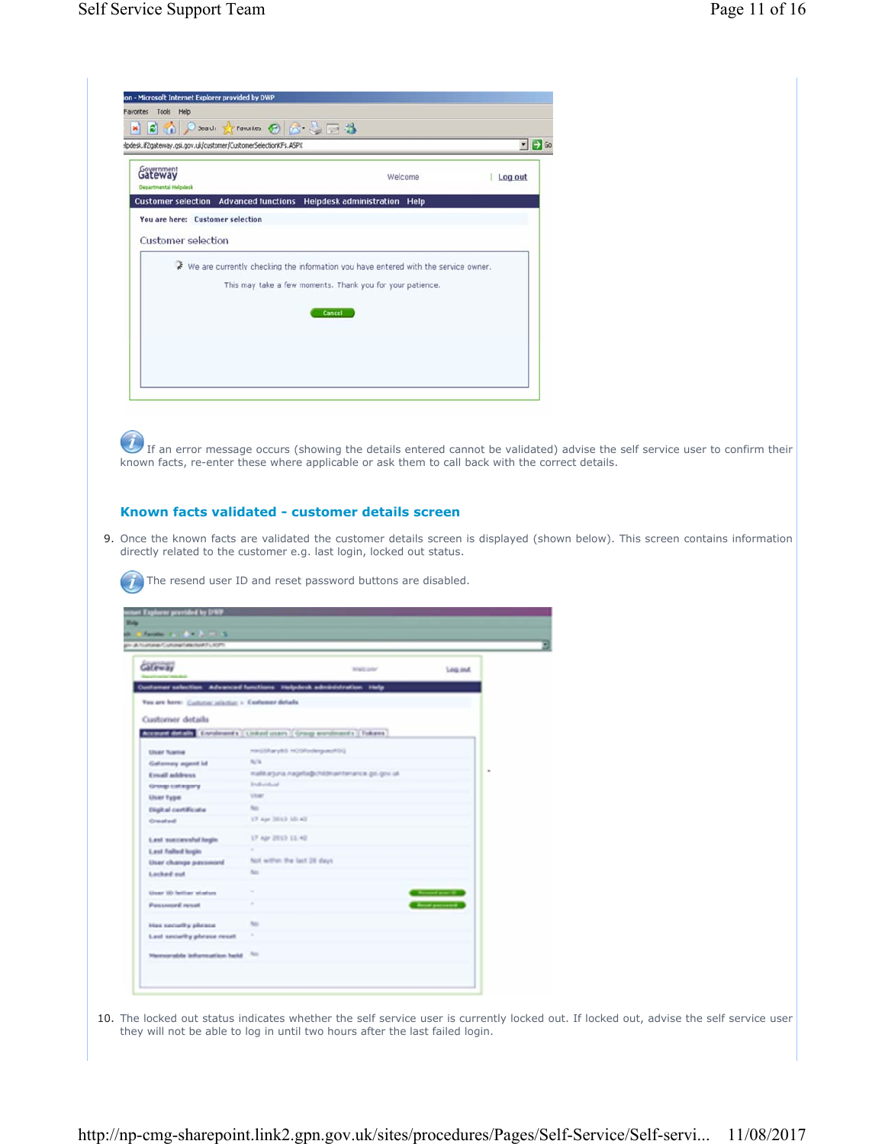| Search & Favorites @ & & B<br>B<br>×<br>lpdesk.if2gateway.gsi.gov.uk/customer/CustomerSelectionKFs.ASPX |                                                                                                                                                 |         | $\bullet$ $\rightarrow$ Go |
|---------------------------------------------------------------------------------------------------------|-------------------------------------------------------------------------------------------------------------------------------------------------|---------|----------------------------|
| Government<br><b>Departmental Helpdesk</b>                                                              | Welcome                                                                                                                                         | Log out |                            |
| Customer selection Advanced functions Helpdesk administration Help                                      |                                                                                                                                                 |         |                            |
| You are here: Customer selection                                                                        |                                                                                                                                                 |         |                            |
| Customer selection                                                                                      |                                                                                                                                                 |         |                            |
|                                                                                                         |                                                                                                                                                 |         |                            |
| ÷                                                                                                       | We are currently checking the information you have entered with the service owner.<br>This may take a few moments. Thank you for your patience. |         |                            |
|                                                                                                         |                                                                                                                                                 |         |                            |
|                                                                                                         | Cancel                                                                                                                                          |         |                            |
|                                                                                                         |                                                                                                                                                 |         |                            |

If an error message occurs (showing the details entered cannot be validated) advise the self service user to confirm their known facts, re-enter these where applicable or ask them to call back with the correct details.

## **Known facts validated - customer details screen**

The resend user ID and reset password buttons are disabled.

9. Once the known facts are validated the customer details screen is displayed (shown below). This screen contains information directly related to the customer e.g. last login, locked out status.

| in al-Australia Customa Ealanta al-Fu a SPA       |                                                                        |                        |
|---------------------------------------------------|------------------------------------------------------------------------|------------------------|
| G                                                 | Walking Lynn                                                           | <b>Log out</b>         |
|                                                   | (unitamer selection Advanced functions Helpdesk administration Help    |                        |
| You are hore: Cashinacashillan > Contomer details |                                                                        |                        |
|                                                   |                                                                        |                        |
| Customer details                                  |                                                                        |                        |
|                                                   | Account Entrills Enriquents   Linked users   Group enrolments   Fokens |                        |
| <b>User Name</b>                                  | PROBATION ERVISION                                                     |                        |
| Gallerowy aquist id.                              | <b>NOW</b>                                                             |                        |
| <b>Ernall address</b>                             | malikarjuna nagelja@chkBmaintenance.go.gov.uk                          |                        |
| Group category                                    | Industrial                                                             |                        |
| <b>User Fype</b>                                  | <b>Ukant</b>                                                           |                        |
| <b>Digital certificate</b>                        | Rep.                                                                   |                        |
| <b>Created</b>                                    | 17 Apr 2013 10:42                                                      |                        |
| Lest successful login                             | 17 Apr 2013 11:42                                                      |                        |
| <b>Lext falled login</b>                          |                                                                        |                        |
| User change pessmand                              | Not within the last 28 days.                                           |                        |
| Lacked aud                                        | tus.                                                                   |                        |
| User 10 letter status                             |                                                                        | <b>Reserved arms 4</b> |
|                                                   |                                                                        |                        |
| <b>Pannound</b> renat                             |                                                                        | <b>Roset percent</b>   |
| Has security phrase                               | No.                                                                    |                        |
| Lest security phrase resat                        | ٠                                                                      |                        |
| Maxmaniable information held                      | No.                                                                    |                        |

10. The locked out status indicates whether the self service user is currently locked out. If locked out, advise the self service user they will not be able to log in until two hours after the last failed login.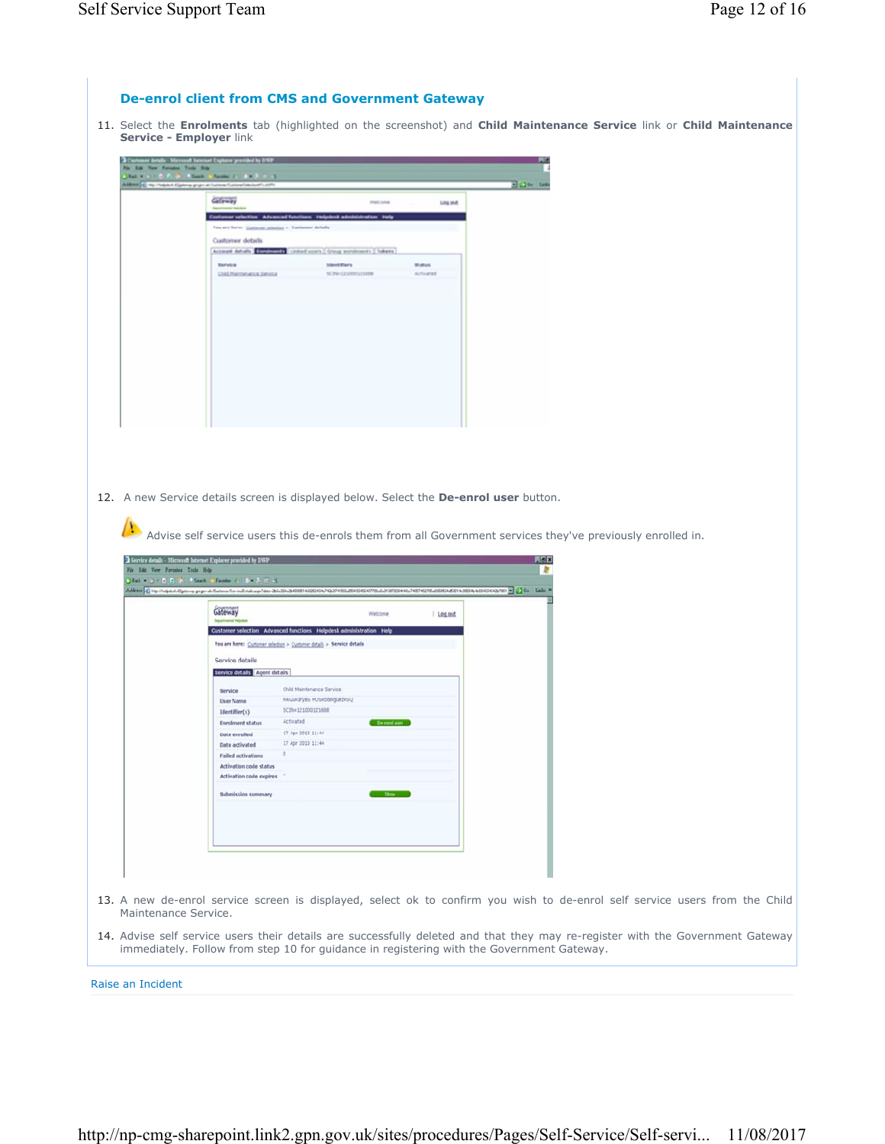## **De-enrol client from CMS and Government Gateway**

11. Select the **Enrolments** tab (highlighted on the screenshot) and **Child Maintenance Service** link or **Child Maintenance Service - Employer** link



12. A new Service details screen is displayed below. Select the **De-enrol user** button.

Advise self service users this de-enrols them from all Government services they've previously enrolled in.

| Gateway                       |                                                                       | Welcoma    | Log out |  |  |  |
|-------------------------------|-----------------------------------------------------------------------|------------|---------|--|--|--|
|                               | Customer selection Advanced functions Helpdesk administration Help    |            |         |  |  |  |
|                               | You are here: Customer selection > Customer details > Service details |            |         |  |  |  |
| Service details               |                                                                       |            |         |  |  |  |
| Service details Agent details |                                                                       |            |         |  |  |  |
| <b>Service</b>                | Child Maintenance Service                                             |            |         |  |  |  |
| <b>User Name</b>              | HAGSRary85 HOSRodeiguezRSQ                                            |            |         |  |  |  |
| Identifier(s)                 | SCB#+121000121688                                                     |            |         |  |  |  |
| <b>Enrolment status</b>       | Activated                                                             | De enotano |         |  |  |  |
| Date enrolled                 | 17 Apr 2013 11:44                                                     |            |         |  |  |  |
| Date activated                | 17 Apr 2013 11:44                                                     |            |         |  |  |  |
| <b>Failed activations</b>     | $\circ$                                                               |            |         |  |  |  |
| <b>Activation code status</b> |                                                                       |            |         |  |  |  |
| Activation code expires       |                                                                       |            |         |  |  |  |
| <b>Submission summary</b>     |                                                                       | Show       |         |  |  |  |
|                               |                                                                       |            |         |  |  |  |
|                               |                                                                       |            |         |  |  |  |
|                               |                                                                       |            |         |  |  |  |
|                               |                                                                       |            |         |  |  |  |
|                               |                                                                       |            |         |  |  |  |
|                               |                                                                       |            |         |  |  |  |

14. Advise self service users their details are successfully deleted and that they may re-register with the Government Gateway immediately. Follow from step 10 for guidance in registering with the Government Gateway.

Raise an Incident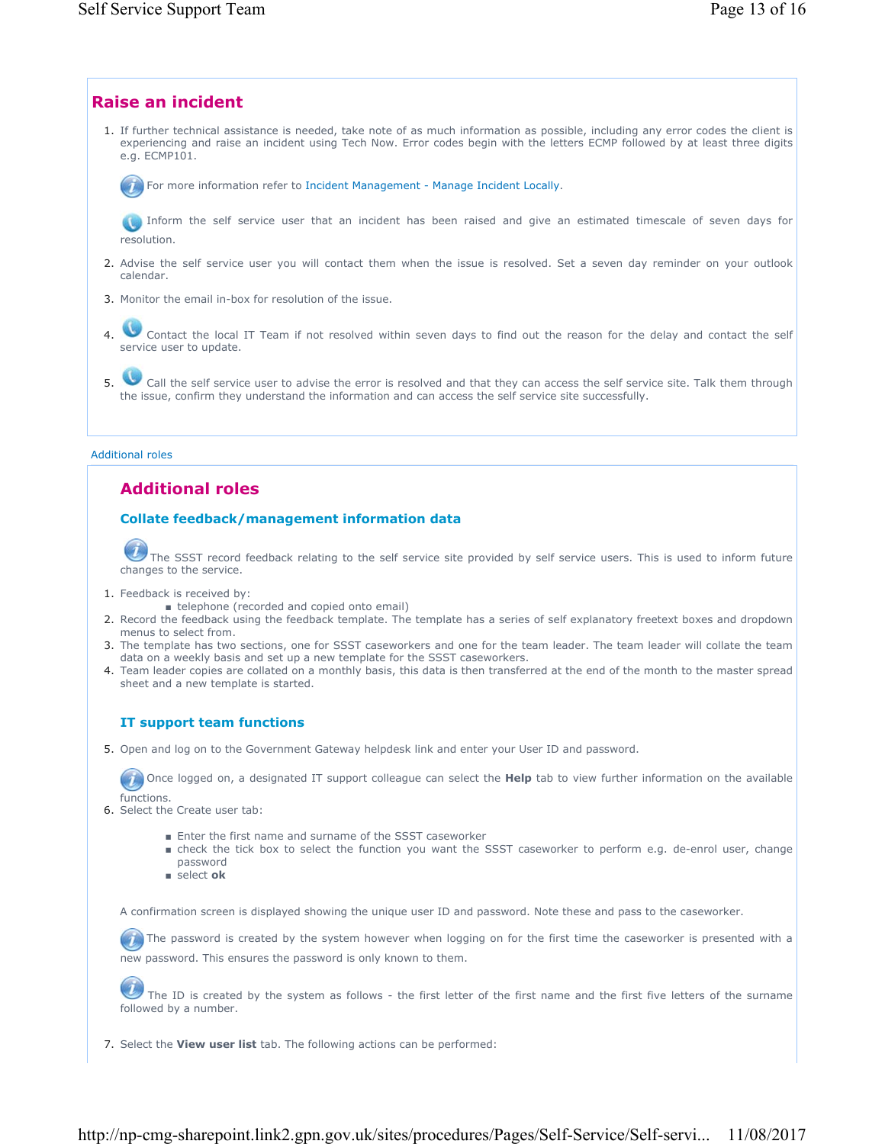

■ select **ok**

A confirmation screen is displayed showing the unique user ID and password. Note these and pass to the caseworker.

 $(T)$  The password is created by the system however when logging on for the first time the caseworker is presented with a new password. This ensures the password is only known to them.

The ID is created by the system as follows - the first letter of the first name and the first five letters of the surname followed by a number.

7. Select the **View user list** tab. The following actions can be performed: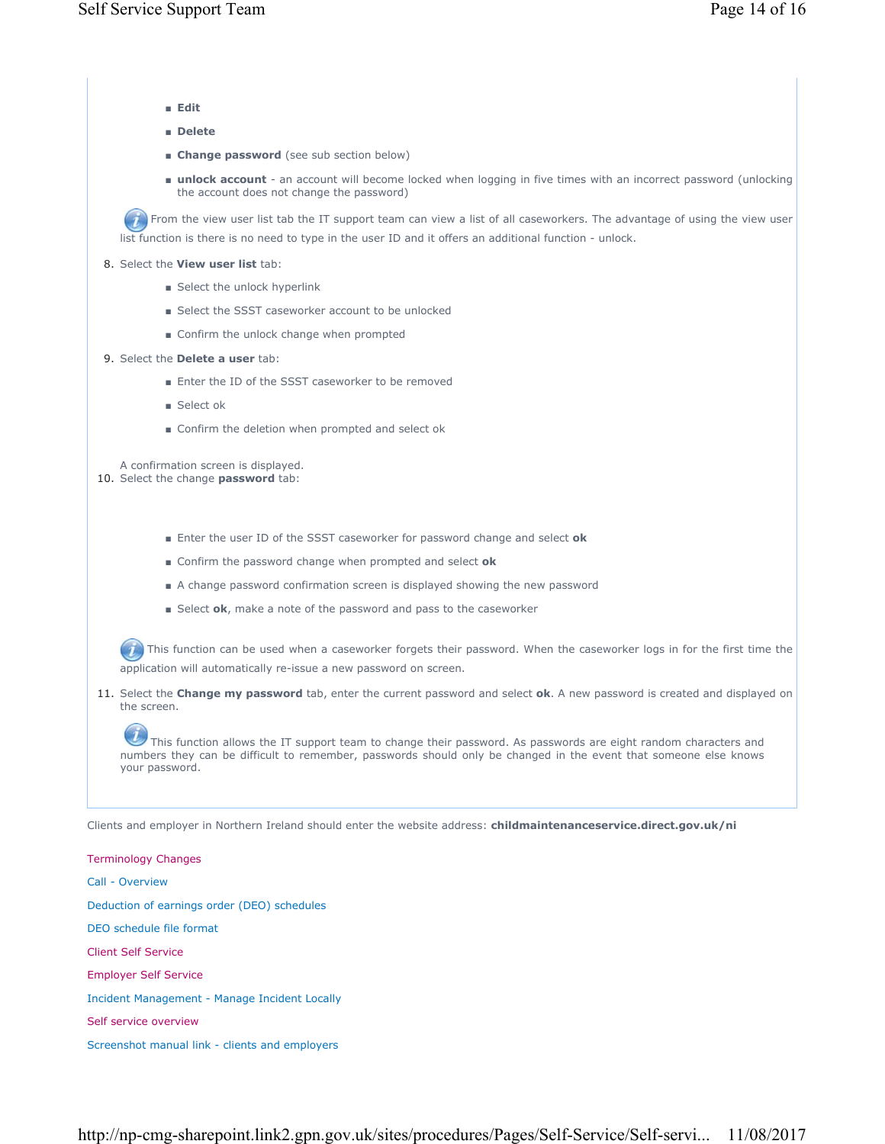- **Edit**
- **Delete**
- **Example password** (see sub section below)
- unlock account an account will become locked when logging in five times with an incorrect password (unlocking the account does not change the password)

From the view user list tab the IT support team can view a list of all caseworkers. The advantage of using the view user list function is there is no need to type in the user ID and it offers an additional function - unlock.

- 8. Select the **View user list** tab:
	- Select the unlock hyperlink
	- Select the SSST caseworker account to be unlocked
	- Confirm the unlock change when prompted
- 9. Select the **Delete a user** tab:
	- Enter the ID of the SSST caseworker to be removed
	- Select ok
	- Confirm the deletion when prompted and select ok

A confirmation screen is displayed.

- 10. Select the change **password** tab:
	- Enter the user ID of the SSST caseworker for password change and select ok
	- Confirm the password change when prompted and select **ok**
	- A change password confirmation screen is displayed showing the new password
	- Select ok, make a note of the password and pass to the caseworker

 $(T)$  This function can be used when a caseworker forgets their password. When the caseworker logs in for the first time the application will automatically re-issue a new password on screen.

11. Select the **Change my password** tab, enter the current password and select **ok**. A new password is created and displayed on the screen.

This function allows the IT support team to change their password. As passwords are eight random characters and numbers they can be difficult to remember, passwords should only be changed in the event that someone else knows your password.

Clients and employer in Northern Ireland should enter the website address: **childmaintenanceservice.direct.gov.uk/ni**

Terminology Changes Call - Overview Deduction of earnings order (DEO) schedules DEO schedule file format Client Self Service Employer Self Service Incident Management - Manage Incident Locally Self service overview Screenshot manual link - clients and employers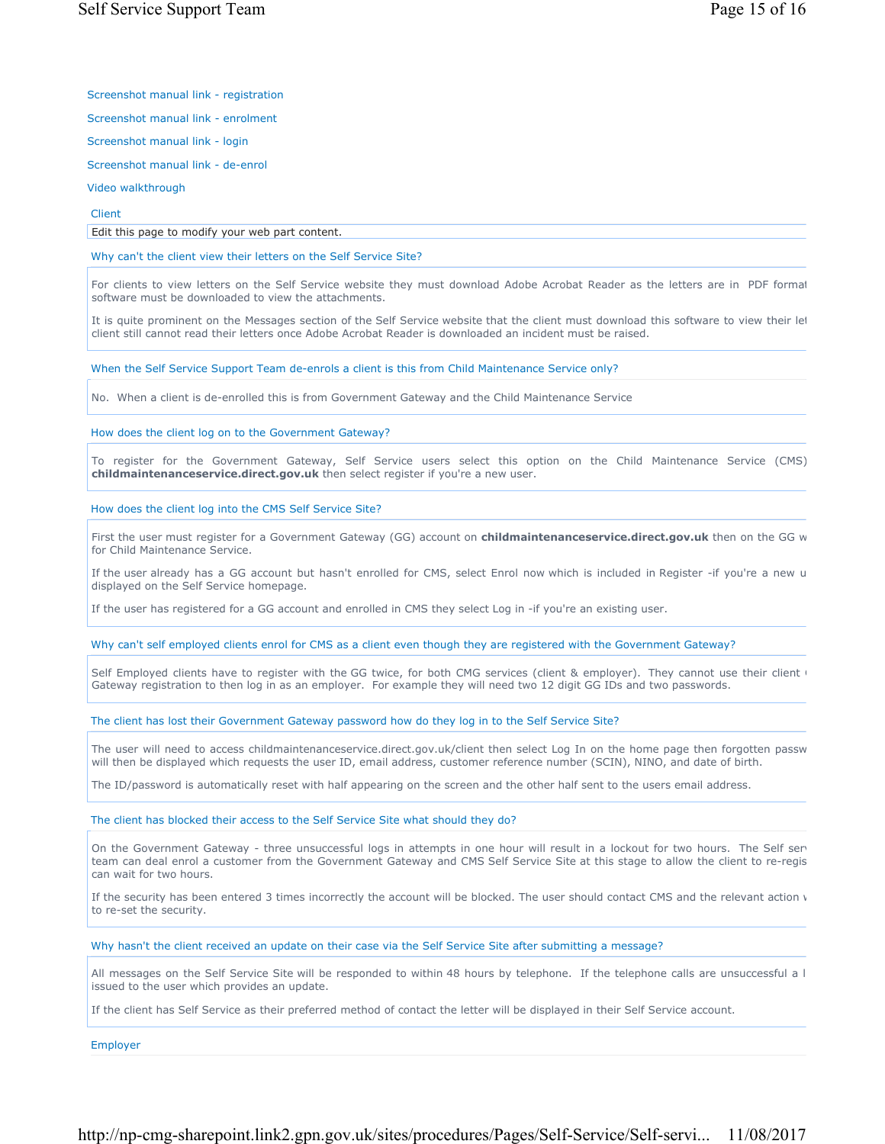Screenshot manual link - registration

Screenshot manual link - enrolment

Screenshot manual link - login

Screenshot manual link - de-enrol

Video walkthrough

Client

Edit this page to modify your web part content.

Why can't the client view their letters on the Self Service Site?

For clients to view letters on the Self Service website they must download Adobe Acrobat Reader as the letters are in PDF format software must be downloaded to view the attachments.

It is quite prominent on the Messages section of the Self Service website that the client must download this software to view their let client still cannot read their letters once Adobe Acrobat Reader is downloaded an incident must be raised.

When the Self Service Support Team de-enrols a client is this from Child Maintenance Service only?

No. When a client is de-enrolled this is from Government Gateway and the Child Maintenance Service

How does the client log on to the Government Gateway?

To register for the Government Gateway, Self Service users select this option on the Child Maintenance Service (CMS) **childmaintenanceservice.direct.gov.uk** then select register if you're a new user.

How does the client log into the CMS Self Service Site?

First the user must register for a Government Gateway (GG) account on **childmaintenanceservice.direct.gov.uk** then on the GG w for Child Maintenance Service.

If the user already has a GG account but hasn't enrolled for CMS, select Enrol now which is included in Register -if you're a new u displayed on the Self Service homepage.

If the user has registered for a GG account and enrolled in CMS they select Log in -if you're an existing user.

Why can't self employed clients enrol for CMS as a client even though they are registered with the Government Gateway?

Self Employed clients have to register with the GG twice, for both CMG services (client & employer). They cannot use their client ( Gateway registration to then log in as an employer. For example they will need two 12 digit GG IDs and two passwords.

The client has lost their Government Gateway password how do they log in to the Self Service Site?

The user will need to access childmaintenanceservice.direct.gov.uk/client then select Log In on the home page then forgotten passw will then be displayed which requests the user ID, email address, customer reference number (SCIN), NINO, and date of birth.

The ID/password is automatically reset with half appearing on the screen and the other half sent to the users email address.

The client has blocked their access to the Self Service Site what should they do?

On the Government Gateway - three unsuccessful logs in attempts in one hour will result in a lockout for two hours. The Self ser team can deal enrol a customer from the Government Gateway and CMS Self Service Site at this stage to allow the client to re-regis can wait for two hours.

If the security has been entered 3 times incorrectly the account will be blocked. The user should contact CMS and the relevant action v to re-set the security.

Why hasn't the client received an update on their case via the Self Service Site after submitting a message?

All messages on the Self Service Site will be responded to within 48 hours by telephone. If the telephone calls are unsuccessful a l issued to the user which provides an update.

If the client has Self Service as their preferred method of contact the letter will be displayed in their Self Service account.

Employer